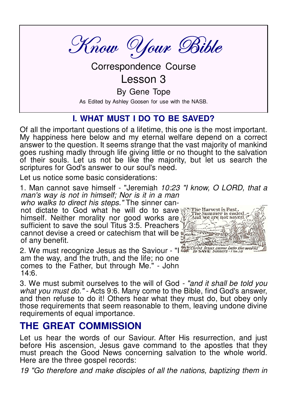Know Your Bible

**Correspondence Course** 

# $lesson 3$

By Gene Tope

As Edited by Ashley Goosen for use with the NASB.

## **I. WHAT MUST I DO TO BE SAVED?**

Of all the important questions of a lifetime, this one is the most important. My happiness here below and my eternal welfare depend on a correct answer to the question. It seems strange that the vast majority of mankind goes rushing madly through life giving little or no thought to the salvation of their souls. Let us not be like the maiority, but let us search the scriptures for God's answer to our soul's need.

Let us notice some basic considerations:

1. Man cannot save himself - "Jeremiah 10:23 "I know, O LORD, that a man's way is not in himself; Nor is it in a man

who walks to direct his steps." The sinner cannot dictate to God what he will do to save Wille Harvest is Past himself. Neither morality nor good works are sufficient to save the soul Titus 3:5. Preachers cannot devise a creed or catechism that will be of any benefit.

2. We must recognize Jesus as the Saviour - "I the save since symethic am the way, and the truth, and the life; no one comes to the Father, but through Me." - John  $14:6.$ 



3. We must submit ourselves to the will of God - "and it shall be told you what you must do." - Acts 9:6. Many come to the Bible, find God's answer, and then refuse to do it! Others hear what they must do, but obey only those requirements that seem reasonable to them, leaving undone divine requirements of equal importance.

# **THE GREAT COMMISSION**

Let us hear the words of our Saviour. After His resurrection, and just before His ascension, Jesus gave command to the apostles that they must preach the Good News concerning salvation to the whole world. Here are the three gospel records:

19 "Go therefore and make disciples of all the nations, baptizing them in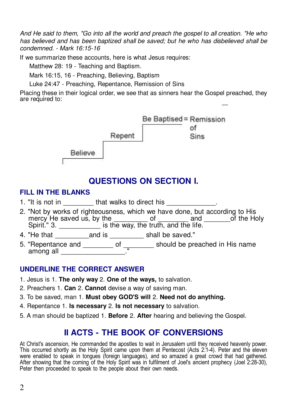And He said to them. "Go into all the world and preach the gospel to all creation. "He who has believed and has been baptized shall be saved; but he who has disbelieved shall be condemned. - Mark 16:15-16

If we summarize these accounts, here is what Jesus requires:

Matthew 28: 19 - Teaching and Baptism.

Mark 16:15, 16 - Preaching, Believing, Baptism

Luke 24:47 - Preaching, Repentance, Remission of Sins

Placing these in their logical order, we see that as sinners hear the Gospel preached, they are required to:



# **QUESTIONS ON SECTION I.**

#### **FILL IN THE BLANKS**

- 1. "It is not in \_\_\_\_\_\_\_\_that walks to direct his \_\_\_\_\_\_\_
- 2. "Not by works of righteousness, which we have done, but according to His mercy He saved us, by the of and of the Holy<br>Spirit." 3. \_\_\_\_\_\_\_\_\_\_\_\_\_\_\_ is the way, the truth, and the life.
- 4. "He that \_\_\_\_\_\_\_\_\_\_\_\_\_\_ and is \_\_\_\_\_\_\_\_\_\_\_\_ shall be saved."
- 5. "Repentance and \_\_\_\_\_\_\_\_\_\_ of  $\frac{1}{\sqrt{2\pi}}$  should be preached in His name among all

#### **UNDERLINE THE CORRECT ANSWER**

- 1. Jesus is 1. The only way 2. One of the ways, to salvation.
- 2. Preachers 1. Can 2. Cannot devise a way of saving man.
- 3. To be saved, man 1. Must obey GOD'S will 2. Need not do anything.
- 4. Repentance 1. Is necessary 2. Is not necessary to salvation.
- 5. A man should be baptized 1. Before 2. After hearing and believing the Gospel.

# **II ACTS - THE BOOK OF CONVERSIONS**

At Christ's ascension, He commanded the apostles to wait in Jerusalem until they received heavenly power. This occurred shortly as the Holy Spirit came upon them at Pentecost (Acts 2:1-4). Peter and the eleven<br>were enabled to speak in tongues (foreign languages), and so amazed a great crowd that had gathered. After showing that the coming of the Holy Spirit was in fulfilment of Joel's ancient prophecy (Joel 2:28-30), Peter then proceeded to speak to the people about their own needs.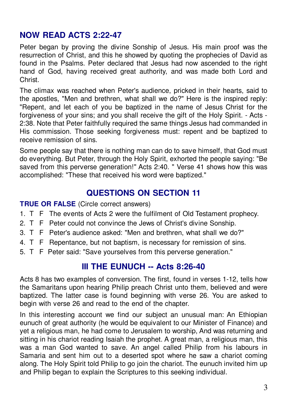### **NOW READ ACTS 2:22-47**

Peter began by proving the divine Sonship of Jesus. His main proof was the resurrection of Christ, and this he showed by quoting the prophecies of David as found in the Psalms. Peter declared that Jesus had now ascended to the right hand of God, having received great authority, and was made both Lord and Christ

The climax was reached when Peter's audience, pricked in their hearts, said to the apostles. "Men and brethren, what shall we do?" Here is the inspired reply: "Repent, and let each of you be baptized in the name of Jesus Christ for the forgiveness of your sins; and you shall receive the gift of the Holy Spirit. - Acts -2:38. Note that Peter faithfully required the same things Jesus had commanded in His commission. Those seeking forgiveness must: repent and be baptized to receive remission of sins

Some people say that there is nothing man can do to save himself, that God must do everything. But Peter, through the Holy Spirit, exhorted the people saying: "Be saved from this perverse generation!" Acts 2:40. " Verse 41 shows how this was accomplished: "These that received his word were baptized."

### **QUESTIONS ON SECTION 11**

#### **TRUE OR FALSE** (Circle correct answers)

- 1. T F The events of Acts 2 were the fulfilment of Old Testament prophecy.
- 2. T F Peter could not convince the Jews of Christ's divine Sonship.
- 3. T F Peter's audience asked: "Men and brethren, what shall we do?"
- 4. T F Repentance, but not baptism, is necessary for remission of sins.
- 5. T F Peter said: "Save yourselves from this perverse generation."

### **III THE EUNUCH -- Acts 8:26-40**

Acts 8 has two examples of conversion. The first, found in verses 1-12, tells how the Samaritans upon hearing Philip preach Christ unto them, believed and were baptized. The latter case is found beginning with verse 26. You are asked to begin with verse 26 and read to the end of the chapter.

In this interesting account we find our subject an unusual man: An Ethiopian eunuch of great authority (he would be equivalent to our Minister of Finance) and yet a religious man, he had come to Jerusalem to worship, And was returning and sitting in his chariot reading Isaiah the prophet. A great man, a religious man, this was a man God wanted to save. An angel called Philip from his labours in Samaria and sent him out to a deserted spot where he saw a chariot coming along. The Holy Spirit told Philip to go join the chariot. The eunuch invited him up and Philip began to explain the Scriptures to this seeking individual.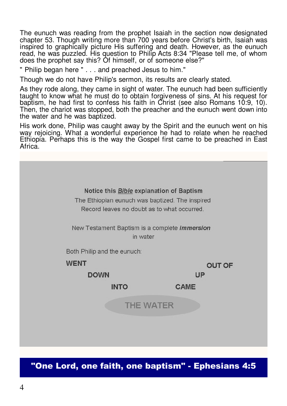The eunuch was reading from the prophet Isaiah in the section now designated chapter 53. Though writing more than 700 years before Christ's birth, Isaiah was inspired to graphically picture His suffering and death. However, as the eunuch read, he was puzzled. His question to Philip Acts 8:34 "Please tell me, of whom does the prophet say this? Of himself, or of someone else?"

" Philip began here " . . . and preached Jesus to him."

Though we do not have Philip's sermon, its results are clearly stated.

As they rode along, they came in sight of water. The eunuch had been sufficiently taught to know what he must do to obtain forgiveness of sins. At his request for baptism, he had first to confess his faith in Christ (see also Romans 10:9, 10). Then, the chariot was stopped, both the preacher and the eunuch went down into the water and he was baptized.

His work done, Philip was caught away by the Spirit and the eunuch went on his way rejoicing. What a wonderful experience he had to relate when he reached Ethiopia. Perhaps this is the way the Gospel first came to be preached in East Africa.



## "One Lord, one faith, one baptism" - Ephesians 4:5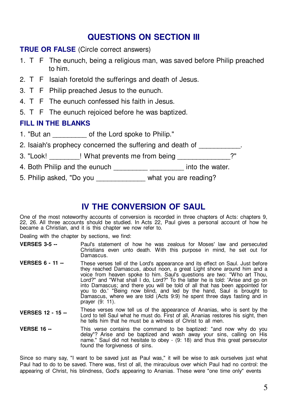### **QUESTIONS ON SECTION III**

#### **TRUE OR FALSE** (Circle correct answers)

- 1. T F The eunuch, being a religious man, was saved before Philip preached to him.
- 2. T F Isaiah foretold the sufferings and death of Jesus.
- 3. T F Philip preached Jesus to the eunuch.
- 4. T F The eunuch confessed his faith in Jesus.
- 5. T F The eunuch rejoiced before he was baptized.

#### **FILL IN THE BLANKS**

- 1. "But an discreption of the Lord spoke to Philip."
- 2. Isaiah's prophecy concerned the suffering and death of
- 3. "Look! ! What prevents me from being \_\_\_\_\_\_\_\_\_\_\_\_?"
- 4. Both Philip and the eunuch \_\_\_\_\_\_\_\_\_\_\_\_\_\_\_\_\_\_\_\_\_\_\_\_ into the water.
- 5. Philip asked, "Do you \_\_\_\_\_\_\_\_\_\_\_\_\_ what you are reading?

### **IV THE CONVERSION OF SAUL**

One of the most noteworthy accounts of conversion is recorded in three chapters of Acts: chapters 9, 22, 26. All three accounts should be studied. In Acts 22, Paul gives a personal account of how he became a Christian, and it is this chapter we now refer to.

Dealing with the chapter by sections, we find:

- Paul's statement of how he was zealous for Moses' law and persecuted Christians even unto death. With this purpose in mind, he set out for Damascus. **VERSES 3-5 --**
- These verses tell of the Lord's appearance and its effect on Saul. Just before they reached Damascus, about noon, a great Light shone around him and a voice from heaven spoke to him. Saul's questions are two: "Who art Thou, Lord?" and "What shall I do, Lord?" To the latter he is told: 'Arise and go on into Damascus; and there you will be told of all that has been appointed for you to do.' "Being now blind, and led by the hand, Saul is brought to Damascus, where we are told (Acts 9:9) he spent three days fasting and in prayer (9: 11). **VERSES 6 - 11 --**
- These verses now tell us of the appearance of Ananias, who is sent by the Lord to tell Saul what he must do. First of all, Ananias restores his sight, then he tells him that he must be a witness of Christ to all men. **VERSES 12 - 15 --**
- This verse contains the command to be baptized: "and now why do you delay"? Arise and be baptized and wash away your sins, calling on His name." Saul did not hesitate to obey - (9: 18) and thus this great persecutor found the forgiveness of sins. **VERSE 16 --**

Since so many say, "I want to be saved just as Paul was," it will be wise to ask ourselves just what Paul had to do to be saved. There was, first of all, the miraculous over which Paul had no control: the appearing of Christ, his blindness, God's appearing to Ananias. These were "one time only" events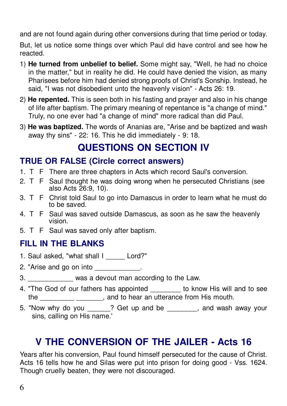and are not found again during other conversions during that time period or today.

But, let us notice some things over which Paul did have control and see how he reacted

- 1) He turned from unbelief to belief. Some might say, "Well, he had no choice in the matter," but in reality he did. He could have denied the vision, as many Pharisees before him had denied strong proofs of Christ's Sonship. Instead, he said. "I was not disobedient unto the heavenly vision" - Acts 26: 19.
- 2) He repented. This is seen both in his fasting and prayer and also in his change of life after baptism. The primary meaning of repentance is "a change of mind." Truly, no one ever had "a change of mind" more radical than did Paul.
- 3) He was baptized. The words of Ananias are, "Arise and be baptized and wash away thy sins" - 22: 16. This he did immediately - 9: 18.

# **QUESTIONS ON SECTION IV**

## **TRUE OR FALSE (Circle correct answers)**

- 1. T F There are three chapters in Acts which record Saul's conversion.
- 2. T F Saul thought he was doing wrong when he persecuted Christians (see also Acts 26:9, 10).
- 3. T F Christ told Saul to go into Damascus in order to learn what he must do to be saved.
- 4. T F Saul was saved outside Damascus, as soon as he saw the heavenly vision.
- 5. T F Saul was saved only after baptism.

# **FILL IN THE BLANKS**

- 1. Saul asked, "what shall I Lord?"
- 2. "Arise and go on into \_\_\_\_\_\_\_\_\_\_\_\_.
- 3. \_\_\_\_\_\_\_\_\_\_\_\_\_ was a devout man according to the Law.
- 4. "The God of our fathers has appointed \_\_\_\_\_\_\_\_ to know His will and to see the \_\_\_\_\_\_\_\_\_\_\_\_\_\_\_\_\_\_\_\_\_\_, and to hear an utterance from His mouth.
- 5. "Now why do you \_\_\_\_\_? Get up and be \_\_\_\_\_\_\_, and wash away your sins, calling on His name.'

# V THE CONVERSION OF THE JAILER - Acts 16

Years after his conversion, Paul found himself persecuted for the cause of Christ. Acts 16 tells how he and Silas were put into prison for doing good - Vss. 1624. Though cruelly beaten, they were not discouraged.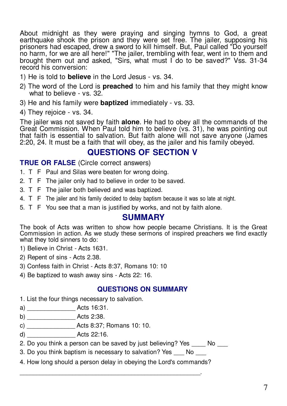About midnight as they were praving and singing hymns to God, a great earthquake shook the prison and they were set free. The jailer, supposing his prisoners had escaped, drew a sword to kill himself. But, Paul called "Do yourself no harm, for we are all here!" "The jailer, trembling with fear, went in to them and brought them out and asked. "Sirs, what must I do to be saved?" Vss. 31-34 record his conversion:

- 1) He is told to **believe** in the Lord Jesus vs. 34.
- 2) The word of the Lord is **preached** to him and his family that they might know what to believe - vs. 32.
- 3) He and his family were **baptized** immediately vs. 33.
- 4) They rejoice vs. 34.

The jailer was not saved by faith **alone**. He had to obey all the commands of the Great Commission. When Paul told him to believe (vs. 31), he was pointing out that faith is essential to salvation. But faith alone will not save anyone (James 2:20, 24. It must be a faith that will obey, as the jailer and his family obeyed.

### **QUESTIONS OF SECTION V**

**TRUE OR FALSE** (Circle correct answers)

- 1. T F Paul and Silas were beaten for wrong doing.
- 2. T F The jailer only had to believe in order to be saved.
- 3. T F The jailer both believed and was baptized.
- 4. T F The jailer and his family decided to delay baptism because it was so late at night.
- 5. T F You see that a man is justified by works, and not by faith alone.

#### **SUMMARY**

The book of Acts was written to show how people became Christians. It is the Great Commission in action. As we study these sermons of inspired preachers we find exactly what they told sinners to do:

- 1) Believe in Christ Acts 1631.
- 2) Repent of sins Acts 2.38.
- 3) Confess faith in Christ Acts 8:37, Romans 10: 10
- 4) Be baptized to wash away sins Acts 22: 16.

#### **QUESTIONS ON SUMMARY**

- 1. List the four things necessary to salvation.
- 
- 
- 
- d) Acts 22:16.
- 2. Do you think a person can be saved by just believing? Yes No
- 3. Do you think baptism is necessary to salvation? Yes No
- 4. How long should a person delay in obeying the Lord's commands?